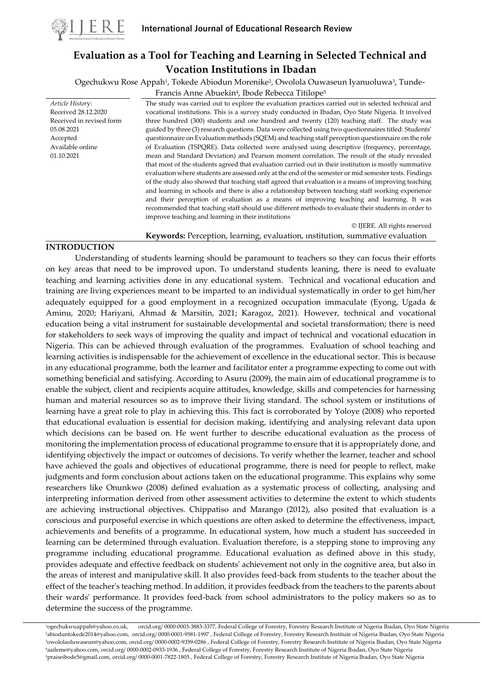

# **Evaluation as a Tool for Teaching and Learning in Selected Technical and Vocation Institutions in Ibadan**

Ogechukwu Rose Appah<sup>1</sup>, Tokede Abiodun Morenike<sup>2</sup>, Owolola Ouwaseun Iyanuoluwa<sup>3</sup>, Tunde-

Francis Anne Abuekin<sup>4</sup>, Ibode Rebecca Titilope<sup>5</sup>

*Article Histor*y: Received 28.12.2020 Received in revised form 05.08.2021 Accepted Available online 01.10.2021

The study was carried out to explore the evaluation practices carried out in selected technical and vocational institutions. This is a survey study conducted in Ibadan, Oyo State Nigeria. It involved three hundred (300) students and one hundred and twenty (120) teaching staff. The study was guided by three (3) research questions. Data were collected using two questionnaires titled: Students' questionnaire on Evaluation methods (SQEM) and teaching staff perception questionnaire on the role of Evaluation (TSPQRE). Data collected were analysed using descriptive (frequency, percentage, mean and Standard Deviation) and Pearson moment correlation. The result of the study revealed that most of the students agreed that evaluation carried out in their institution is mostly summative evaluation where students are assessed only at the end of the semester or mid semester tests. Findings of the study also showed that teaching staff agreed that evaluation is a means of improving teaching and learning in schools and there is also a relationship between teaching staff working experience and their perception of evaluation as a means of improving teaching and learning. It was recommended that teaching staff should use different methods to evaluate their students in order to improve teaching and learning in their institutions © IJERE. All rights reserved

# **Keywords:** Perception, learning, evaluation, ınstitution, summative evaluation

# **INTRODUCTION**

Understanding of students learning should be paramount to teachers so they can focus their efforts on key areas that need to be improved upon. To understand students leaning, there is need to evaluate teaching and learning activities done in any educational system. Technical and vocational education and training are living experiences meant to be imparted to an individual systematically in order to get him/her adequately equipped for a good employment in a recognized occupation immaculate (Eyong, Ugada & Aminu, 2020; Hariyani, Ahmad & Marsitin, 2021; Karagoz, 2021). However, technical and vocational education being a vital instrument for sustainable developmental and societal transformation; there is need for stakeholders to seek ways of improving the quality and impact of technical and vocational education in Nigeria. This can be achieved through evaluation of the programmes. Evaluation of school teaching and learning activities is indispensable for the achievement of excellence in the educational sector. This is because in any educational programme, both the learner and facilitator enter a programme expecting to come out with something beneficial and satisfying. According to Asuru (2009), the main aim of educational programme is to enable the subject, client and recipients acquire attitudes, knowledge, skills and competencies for harnessing human and material resources so as to improve their living standard. The school system or institutions of learning have a great role to play in achieving this. This fact is corroborated by Yoloye (2008) who reported that educational evaluation is essential for decision making, identifying and analysing relevant data upon which decisions can be based on. He went further to describe educational evaluation as the process of monitoring the implementation process of educational programme to ensure that it is appropriately done, and identifying objectively the impact or outcomes of decisions. To verify whether the learner, teacher and school have achieved the goals and objectives of educational programme, there is need for people to reflect, make judgments and form conclusion about actions taken on the educational programme. This explains why some researchers like Onunkwo (2008) defined evaluation as a systematic process of collecting, analysing and interpreting information derived from other assessment activities to determine the extent to which students are achieving instructional objectives. Chippatiso and Marango (2012), also posited that evaluation is a conscious and purposeful exercise in which questions are often asked to determine the effectiveness, impact, achievements and benefits of a programme. In educational system, how much a student has succeeded in learning can be determined through evaluation. Evaluation therefore, is a stepping stone to improving any programme including educational programme. Educational evaluation as defined above in this study, provides adequate and effective feedback on students' achievement not only in the cognitive area, but also in the areas of interest and manipulative skill. It also provides feed-back from students to the teacher about the effect of the teacher's teaching method. In addition, it provides feedback from the teachers to the parents about their wards' performance. It provides feed-back from school administrators to the policy makers so as to determine the success of the programme.

ogechukwuappah@yahoo.co.uk, orcid.org/ 0000-0003-3883-3377, Federal College of Forestry, Forestry Research Institute of Nigeria Ibadan, Oyo State Nigeria abioduntokede2014@yahoo.com, orcid.org/ 0000-0001-9581-1997 , Federal College of Forestry, Forestry Research Institute of Nigeria Ibadan, Oyo State Nigeria owololaoluwaseun@yahoo.com, orcid.org/ 0000-0002-9359-0286 , Federal College of Forestry, Forestry Research Institute of Nigeria Ibadan, Oyo State Nigeria aaileme@yahoo.com, orcid.org/ 0000-0002-0933-1936 , Federal College of Forestry, Forestry Research Institute of Nigeria Ibadan, Oyo State Nigeria praiseibode5@gmail.com, orcid.org/ 0000-0001-7822-1805 , Federal College of Forestry, Forestry Research Institute of Nigeria Ibadan, Oyo State Nigeria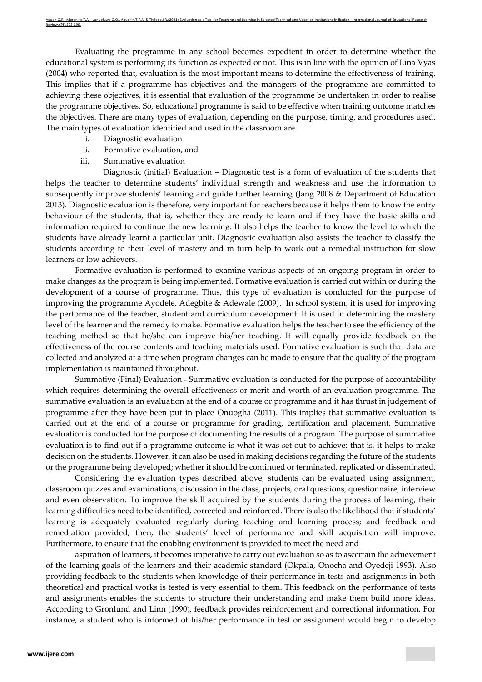Evaluating the programme in any school becomes expedient in order to determine whether the educational system is performing its function as expected or not. This is in line with the opinion of Lina Vyas (2004) who reported that, evaluation is the most important means to determine the effectiveness of training. This implies that if a programme has objectives and the managers of the programme are committed to achieving these objectives, it is essential that evaluation of the programme be undertaken in order to realise the programme objectives. So, educational programme is said to be effective when training outcome matches the objectives. There are many types of evaluation, depending on the purpose, timing, and procedures used. The main types of evaluation identified and used in the classroom are

- i. Diagnostic evaluation
- ii. Formative evaluation, and
- iii. Summative evaluation

Diagnostic (initial) Evaluation – Diagnostic test is a form of evaluation of the students that helps the teacher to determine students' individual strength and weakness and use the information to subsequently improve students' learning and guide further learning (Jang 2008 & Department of Education 2013). Diagnostic evaluation is therefore, very important for teachers because it helps them to know the entry behaviour of the students, that is, whether they are ready to learn and if they have the basic skills and information required to continue the new learning. It also helps the teacher to know the level to which the students have already learnt a particular unit. Diagnostic evaluation also assists the teacher to classify the students according to their level of mastery and in turn help to work out a remedial instruction for slow learners or low achievers.

Formative evaluation is performed to examine various aspects of an ongoing program in order to make changes as the program is being implemented. Formative evaluation is carried out within or during the development of a course of programme. Thus, this type of evaluation is conducted for the purpose of improving the programme Ayodele, Adegbite & Adewale (2009). In school system, it is used for improving the performance of the teacher, student and curriculum development. It is used in determining the mastery level of the learner and the remedy to make. Formative evaluation helps the teacher to see the efficiency of the teaching method so that he/she can improve his/her teaching. It will equally provide feedback on the effectiveness of the course contents and teaching materials used. Formative evaluation is such that data are collected and analyzed at a time when program changes can be made to ensure that the quality of the program implementation is maintained throughout.

Summative (Final) Evaluation - Summative evaluation is conducted for the purpose of accountability which requires determining the overall effectiveness or merit and worth of an evaluation programme. The summative evaluation is an evaluation at the end of a course or programme and it has thrust in judgement of programme after they have been put in place Onuogha (2011). This implies that summative evaluation is carried out at the end of a course or programme for grading, certification and placement. Summative evaluation is conducted for the purpose of documenting the results of a program. The purpose of summative evaluation is to find out if a programme outcome is what it was set out to achieve; that is, it helps to make decision on the students. However, it can also be used in making decisions regarding the future of the students or the programme being developed; whether it should be continued or terminated, replicated or disseminated.

Considering the evaluation types described above, students can be evaluated using assignment, classroom quizzes and examinations, discussion in the class, projects, oral questions, questionnaire, interview and even observation. To improve the skill acquired by the students during the process of learning, their learning difficulties need to be identified, corrected and reinforced. There is also the likelihood that if students' learning is adequately evaluated regularly during teaching and learning process; and feedback and remediation provided, then, the students' level of performance and skill acquisition will improve. Furthermore, to ensure that the enabling environment is provided to meet the need and

aspiration of learners, it becomes imperative to carry out evaluation so as to ascertain the achievement of the learning goals of the learners and their academic standard (Okpala, Onocha and Oyedeji 1993). Also providing feedback to the students when knowledge of their performance in tests and assignments in both theoretical and practical works is tested is very essential to them. This feedback on the performance of tests and assignments enables the students to structure their understanding and make them build more ideas. According to Gronlund and Linn (1990), feedback provides reinforcement and correctional information. For instance, a student who is informed of his/her performance in test or assignment would begin to develop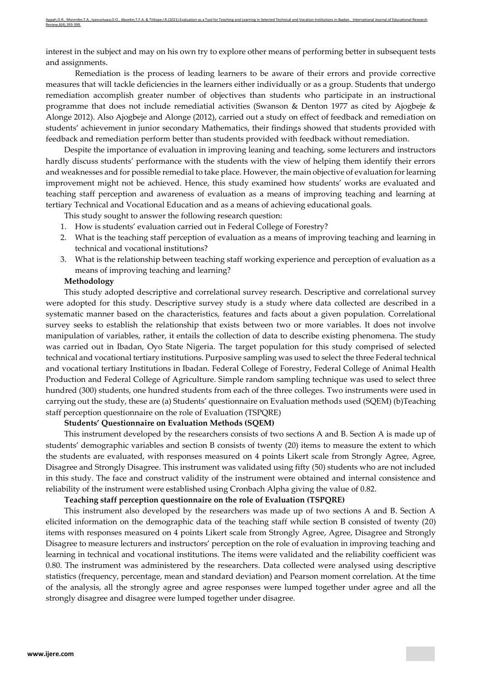interest in the subject and may on his own try to explore other means of performing better in subsequent tests and assignments.

Remediation is the process of leading learners to be aware of their errors and provide corrective measures that will tackle deficiencies in the learners either individually or as a group. Students that undergo remediation accomplish greater number of objectives than students who participate in an instructional programme that does not include remediatial activities (Swanson & Denton 1977 as cited by Ajogbeje & Alonge 2012). Also Ajogbeje and Alonge (2012), carried out a study on effect of feedback and remediation on students' achievement in junior secondary Mathematics, their findings showed that students provided with feedback and remediation perform better than students provided with feedback without remediation.

Despite the importance of evaluation in improving leaning and teaching, some lecturers and instructors hardly discuss students' performance with the students with the view of helping them identify their errors and weaknesses and for possible remedial to take place. However, the main objective of evaluation for learning improvement might not be achieved. Hence, this study examined how students' works are evaluated and teaching staff perception and awareness of evaluation as a means of improving teaching and learning at tertiary Technical and Vocational Education and as a means of achieving educational goals.

This study sought to answer the following research question:

- 1. How is students' evaluation carried out in Federal College of Forestry?
- 2. What is the teaching staff perception of evaluation as a means of improving teaching and learning in technical and vocational institutions?
- 3. What is the relationship between teaching staff working experience and perception of evaluation as a means of improving teaching and learning?

# **Methodology**

This study adopted descriptive and correlational survey research. Descriptive and correlational survey were adopted for this study. Descriptive survey study is a study where data collected are described in a systematic manner based on the characteristics, features and facts about a given population. Correlational survey seeks to establish the relationship that exists between two or more variables. It does not involve manipulation of variables, rather, it entails the collection of data to describe existing phenomena. The study was carried out in Ibadan, Oyo State Nigeria. The target population for this study comprised of selected technical and vocational tertiary institutions. Purposive sampling was used to select the three Federal technical and vocational tertiary Institutions in Ibadan. Federal College of Forestry, Federal College of Animal Health Production and Federal College of Agriculture. Simple random sampling technique was used to select three hundred (300) students, one hundred students from each of the three colleges. Two instruments were used in carrying out the study, these are (a) Students' questionnaire on Evaluation methods used (SQEM) (b)Teaching staff perception questionnaire on the role of Evaluation (TSPQRE)

### **Students' Questionnaire on Evaluation Methods (SQEM)**

This instrument developed by the researchers consists of two sections A and B. Section A is made up of students' demographic variables and section B consists of twenty (20) items to measure the extent to which the students are evaluated, with responses measured on 4 points Likert scale from Strongly Agree, Agree, Disagree and Strongly Disagree. This instrument was validated using fifty (50) students who are not included in this study. The face and construct validity of the instrument were obtained and internal consistence and reliability of the instrument were established using Cronbach Alpha giving the value of 0.82.

#### **Teaching staff perception questionnaire on the role of Evaluation (TSPQRE)**

This instrument also developed by the researchers was made up of two sections A and B. Section A elicited information on the demographic data of the teaching staff while section B consisted of twenty (20) items with responses measured on 4 points Likert scale from Strongly Agree, Agree, Disagree and Strongly Disagree to measure lecturers and instructors' perception on the role of evaluation in improving teaching and learning in technical and vocational institutions. The items were validated and the reliability coefficient was 0.80. The instrument was administered by the researchers. Data collected were analysed using descriptive statistics (frequency, percentage, mean and standard deviation) and Pearson moment correlation. At the time of the analysis, all the strongly agree and agree responses were lumped together under agree and all the strongly disagree and disagree were lumped together under disagree.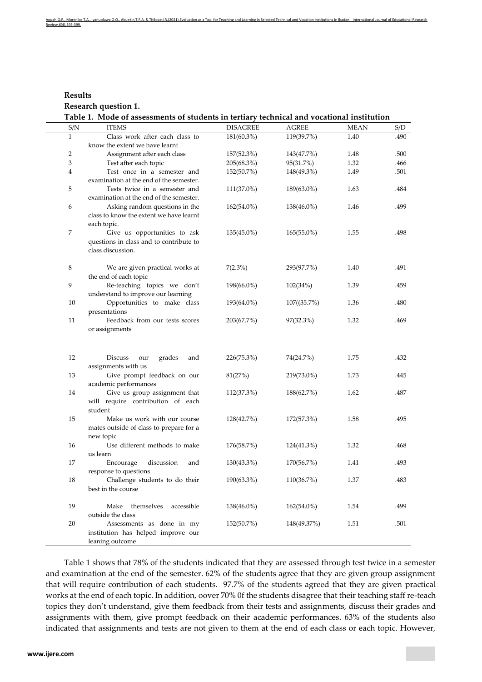|                      | Appah.O.R., Morenike.T.A., Ivanuoluwa.O.O., Abuekin.T.F.A. & Titilope.I.R.(2021).Evaluation as a Tool for Teaching and Learning in Selected Technical and Vocation Institutions in Ibadan. International Journal of Educationa |  |  |
|----------------------|--------------------------------------------------------------------------------------------------------------------------------------------------------------------------------------------------------------------------------|--|--|
| Review.6(4).393-399. |                                                                                                                                                                                                                                |  |  |

**Results Research question 1. Table 1. Mode of assessments of students in tertiary technical and vocational institution**

| S/N            | <b>ITEMS</b>                            | <b>DISAGREE</b> | <b>AGREE</b>  | <b>MEAN</b> | S/D  |
|----------------|-----------------------------------------|-----------------|---------------|-------------|------|
| $\mathbf{1}$   | Class work after each class to          | 181(60.3%)      | 119(39.7%)    | 1.40        | .490 |
|                | know the extent we have learnt          |                 |               |             |      |
| 2              | Assignment after each class             | 157(52.3%)      | 143(47.7%)    | 1.48        | .500 |
| 3              | Test after each topic                   | 205(68.3%)      | 95(31.7%)     | 1.32        | .466 |
| $\overline{4}$ | Test once in a semester and             | 152(50.7%)      | 148(49.3%)    | 1.49        | .501 |
|                | examination at the end of the semester. |                 |               |             |      |
| 5              | Tests twice in a semester and           | 111(37.0%)      | 189(63.0%)    | 1.63        | .484 |
|                | examination at the end of the semester. |                 |               |             |      |
| 6              | Asking random questions in the          | $162(54.0\%)$   | 138(46.0%)    | 1.46        | .499 |
|                | class to know the extent we have learnt |                 |               |             |      |
|                | each topic.                             |                 |               |             |      |
| $\overline{7}$ | Give us opportunities to ask            | $135(45.0\%)$   | 165(55.0%)    | 1.55        | .498 |
|                | questions in class and to contribute to |                 |               |             |      |
|                | class discussion.                       |                 |               |             |      |
|                |                                         |                 |               |             |      |
| 8              | We are given practical works at         | 7(2.3%)         | 293(97.7%)    | 1.40        | .491 |
|                | the end of each topic                   |                 |               |             |      |
| 9              | Re-teaching topics we don't             | 198(66.0%)      | 102(34%)      | 1.39        | .459 |
|                | understand to improve our learning      |                 |               |             |      |
| 10             | Opportunities to make class             | 193(64.0%)      | $107(35.7\%)$ | 1.36        | .480 |
|                | presentations                           |                 |               |             |      |
| 11             | Feedback from our tests scores          | 203(67.7%)      | 97(32.3%)     | 1.32        | .469 |
|                | or assignments                          |                 |               |             |      |
|                |                                         |                 |               |             |      |
|                |                                         |                 |               |             |      |
| 12             | <b>Discuss</b><br>our<br>grades<br>and  | 226(75.3%)      | 74(24.7%)     | 1.75        | .432 |
|                | assignments with us                     |                 |               |             |      |
| 13             | Give prompt feedback on our             | 81(27%)         | 219(73.0%)    | 1.73        | .445 |
|                | academic performances                   |                 |               |             |      |
| 14             | Give us group assignment that           | 112(37.3%)      | 188(62.7%)    | 1.62        | .487 |
|                | will require contribution of each       |                 |               |             |      |
|                | student                                 |                 |               |             |      |
| 15             | Make us work with our course            | 128(42.7%)      | 172(57.3%)    | 1.58        | .495 |
|                | mates outside of class to prepare for a |                 |               |             |      |
|                | new topic                               |                 |               |             |      |
| 16             | Use different methods to make           | 176(58.7%)      | 124(41.3%)    | 1.32        | .468 |
|                | us learn                                |                 |               |             |      |
| 17             | Encourage<br>discussion<br>and          | $130(43.3\%)$   | 170(56.7%)    | 1.41        | .493 |
|                | response to questions                   |                 |               |             |      |
| 18             | Challenge students to do their          | 190(63.3%)      | 110(36.7%)    | 1.37        | .483 |
|                | best in the course                      |                 |               |             |      |
|                |                                         |                 |               |             |      |
| 19             | Make<br>accessible<br>themselves        | 138(46.0%)      | $162(54.0\%)$ | 1.54        | .499 |
|                | outside the class                       |                 |               |             |      |
| 20             | Assessments as done in my               | 152(50.7%)      | 148(49.37%)   | 1.51        | .501 |
|                | institution has helped improve our      |                 |               |             |      |
|                | leaning outcome                         |                 |               |             |      |

Table 1 shows that 78% of the students indicated that they are assessed through test twice in a semester and examination at the end of the semester. 62% of the students agree that they are given group assignment that will require contribution of each students. 97.7% of the students agreed that they are given practical works at the end of each topic. In addition, oover 70% 0f the students disagree that their teaching staff re-teach topics they don't understand, give them feedback from their tests and assignments, discuss their grades and assignments with them, give prompt feedback on their academic performances. 63% of the students also indicated that assignments and tests are not given to them at the end of each class or each topic. However,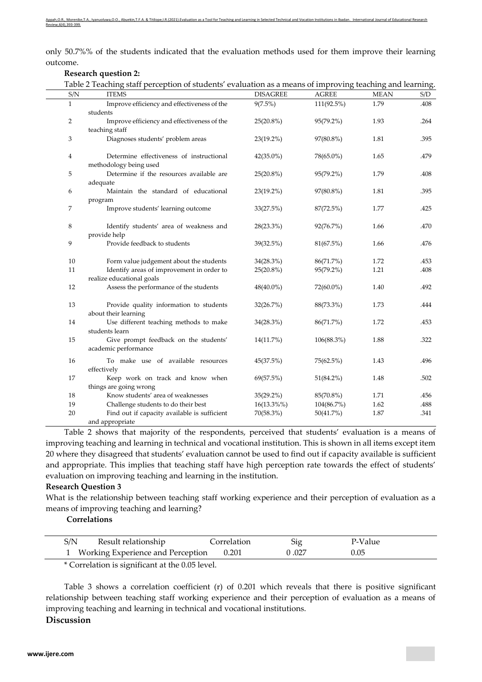only 50.7%% of the students indicated that the evaluation methods used for them improve their learning outcome.

### **Research question 2:**

| S/N            | Table 2 Teaching staff perception of students' evaluation as a means of improving teaching and learning.<br><b>ITEMS</b> | <b>DISAGREE</b> | <b>AGREE</b> | <b>MEAN</b> | S/D  |
|----------------|--------------------------------------------------------------------------------------------------------------------------|-----------------|--------------|-------------|------|
| $\mathbf{1}$   | Improve efficiency and effectiveness of the                                                                              | 9(7.5%)         | 111(92.5%)   | 1.79        | .408 |
|                | students                                                                                                                 |                 |              |             |      |
| $\overline{2}$ | Improve efficiency and effectiveness of the                                                                              | 25(20.8%)       | 95(79.2%)    | 1.93        | .264 |
|                | teaching staff                                                                                                           |                 |              |             |      |
| 3              | Diagnoses students' problem areas                                                                                        | $23(19.2\%)$    | 97(80.8%)    | 1.81        | .395 |
| $\overline{4}$ | Determine effectiveness of instructional                                                                                 | $42(35.0\%)$    | 78(65.0%)    | 1.65        | .479 |
|                | methodology being used                                                                                                   |                 |              |             |      |
| 5              | Determine if the resources available are                                                                                 | 25(20.8%)       | 95(79.2%)    | 1.79        | .408 |
|                | adequate                                                                                                                 |                 |              |             |      |
| 6              | Maintain the standard of educational                                                                                     | 23(19.2%)       | 97(80.8%)    | 1.81        | .395 |
|                | program                                                                                                                  |                 |              |             |      |
| $\overline{7}$ | Improve students' learning outcome                                                                                       | 33(27.5%)       | 87(72.5%)    | 1.77        | .425 |
| $\,8\,$        | Identify students' area of weakness and                                                                                  | 28(23.3%)       | 92(76.7%)    | 1.66        | .470 |
|                | provide help                                                                                                             |                 |              |             |      |
| 9              | Provide feedback to students                                                                                             | 39(32.5%)       | 81(67.5%)    | 1.66        | .476 |
| 10             | Form value judgement about the students                                                                                  | 34(28.3%)       | 86(71.7%)    | 1.72        | .453 |
| 11             | Identify areas of improvement in order to                                                                                | $25(20.8\%)$    | 95(79.2%)    | 1.21        | .408 |
|                | realize educational goals                                                                                                |                 |              |             |      |
| 12             | Assess the performance of the students                                                                                   | $48(40.0\%)$    | 72(60.0%)    | 1.40        | .492 |
| 13             | Provide quality information to students                                                                                  | 32(26.7%)       | 88(73.3%)    | 1.73        | .444 |
|                | about their learning                                                                                                     |                 |              |             |      |
| 14             | Use different teaching methods to make                                                                                   | 34(28.3%)       | 86(71.7%)    | 1.72        | .453 |
|                | students learn                                                                                                           |                 |              |             |      |
| 15             | Give prompt feedback on the students'                                                                                    | 14(11.7%)       | 106(88.3%)   | 1.88        | .322 |
|                | academic performance                                                                                                     |                 |              |             |      |
| 16             | To make use of available resources                                                                                       | 45(37.5%)       | 75(62.5%)    | 1.43        | .496 |
|                | effectively                                                                                                              |                 |              |             |      |
| 17             | Keep work on track and know when                                                                                         | 69(57.5%)       | $51(84.2\%)$ | 1.48        | .502 |
|                | things are going wrong                                                                                                   |                 |              |             |      |
| 18             | Know students' area of weaknesses                                                                                        | $35(29.2\%)$    | 85(70.8%)    | 1.71        | .456 |
| 19             | Challenge students to do their best                                                                                      | 16(13.3%%)      | 104(86.7%)   | 1.62        | .488 |
| 20             | Find out if capacity available is sufficient                                                                             | 70(58.3%)       | 50(41.7%)    | 1.87        | .341 |
|                | and appropriate                                                                                                          |                 |              |             |      |

Table 2 shows that majority of the respondents, perceived that students' evaluation is a means of improving teaching and learning in technical and vocational institution. This is shown in all items except item 20 where they disagreed that students' evaluation cannot be used to find out if capacity available is sufficient and appropriate. This implies that teaching staff have high perception rate towards the effect of students' evaluation on improving teaching and learning in the institution.

### **Research Question 3**

What is the relationship between teaching staff working experience and their perception of evaluation as a means of improving teaching and learning?

**Correlations**

| S/N | Result relationship                                       | Correlation | Sig   | P-Value |  |
|-----|-----------------------------------------------------------|-------------|-------|---------|--|
|     | Working Experience and Perception 0.201                   |             | 0.027 | 0.05    |  |
|     | $\alpha$ . The state of $\alpha$ is the state of $\alpha$ |             |       |         |  |

\* Correlation is significant at the 0.05 level.

Table 3 shows a correlation coefficient (r) of 0.201 which reveals that there is positive significant relationship between teaching staff working experience and their perception of evaluation as a means of improving teaching and learning in technical and vocational institutions.

**Discussion**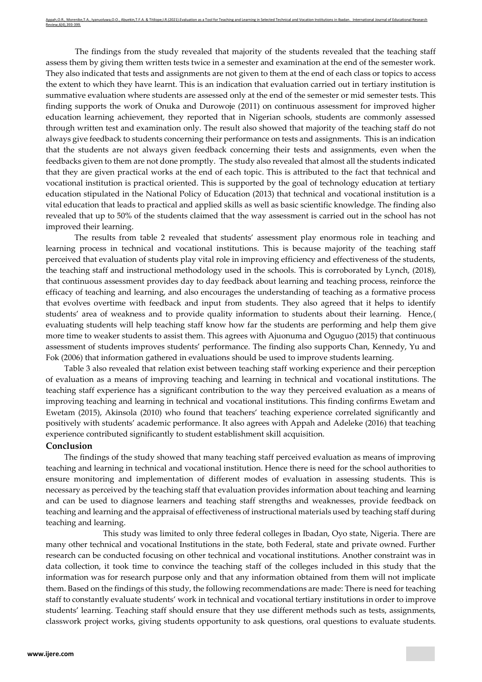The findings from the study revealed that majority of the students revealed that the teaching staff assess them by giving them written tests twice in a semester and examination at the end of the semester work. They also indicated that tests and assignments are not given to them at the end of each class or topics to access the extent to which they have learnt. This is an indication that evaluation carried out in tertiary institution is summative evaluation where students are assessed only at the end of the semester or mid semester tests. This finding supports the work of Onuka and Durowoje (2011) on continuous assessment for improved higher education learning achievement, they reported that in Nigerian schools, students are commonly assessed through written test and examination only. The result also showed that majority of the teaching staff do not always give feedback to students concerning their performance on tests and assignments. This is an indication that the students are not always given feedback concerning their tests and assignments, even when the feedbacks given to them are not done promptly. The study also revealed that almost all the students indicated that they are given practical works at the end of each topic. This is attributed to the fact that technical and vocational institution is practical oriented. This is supported by the goal of technology education at tertiary education stipulated in the National Policy of Education (2013) that technical and vocational institution is a vital education that leads to practical and applied skills as well as basic scientific knowledge. The finding also revealed that up to 50% of the students claimed that the way assessment is carried out in the school has not improved their learning.

The results from table 2 revealed that students' assessment play enormous role in teaching and learning process in technical and vocational institutions. This is because majority of the teaching staff perceived that evaluation of students play vital role in improving efficiency and effectiveness of the students, the teaching staff and instructional methodology used in the schools. This is corroborated by Lynch, (2018), that continuous assessment provides day to day feedback about learning and teaching process, reinforce the efficacy of teaching and learning, and also encourages the understanding of teaching as a formative process that evolves overtime with feedback and input from students. They also agreed that it helps to identify students' area of weakness and to provide quality information to students about their learning. Hence,( evaluating students will help teaching staff know how far the students are performing and help them give more time to weaker students to assist them. This agrees with Ajuonuma and Oguguo (2015) that continuous assessment of students improves students' performance. The finding also supports Chan, Kennedy, Yu and Fok (2006) that information gathered in evaluations should be used to improve students learning.

Table 3 also revealed that relation exist between teaching staff working experience and their perception of evaluation as a means of improving teaching and learning in technical and vocational institutions. The teaching staff experience has a significant contribution to the way they perceived evaluation as a means of improving teaching and learning in technical and vocational institutions. This finding confirms Ewetam and Ewetam (2015), Akinsola (2010) who found that teachers' teaching experience correlated significantly and positively with students' academic performance. It also agrees with Appah and Adeleke (2016) that teaching experience contributed significantly to student establishment skill acquisition.

# **Conclusion**

The findings of the study showed that many teaching staff perceived evaluation as means of improving teaching and learning in technical and vocational institution. Hence there is need for the school authorities to ensure monitoring and implementation of different modes of evaluation in assessing students. This is necessary as perceived by the teaching staff that evaluation provides information about teaching and learning and can be used to diagnose learners and teaching staff strengths and weaknesses, provide feedback on teaching and learning and the appraisal of effectiveness of instructional materials used by teaching staff during teaching and learning.

This study was limited to only three federal colleges in Ibadan, Oyo state, Nigeria. There are many other technical and vocational Institutions in the state, both Federal, state and private owned. Further research can be conducted focusing on other technical and vocational institutions. Another constraint was in data collection, it took time to convince the teaching staff of the colleges included in this study that the information was for research purpose only and that any information obtained from them will not implicate them. Based on the findings of this study, the following recommendations are made: There is need for teaching staff to constantly evaluate students' work in technical and vocational tertiary institutions in order to improve students' learning. Teaching staff should ensure that they use different methods such as tests, assignments, classwork project works, giving students opportunity to ask questions, oral questions to evaluate students.